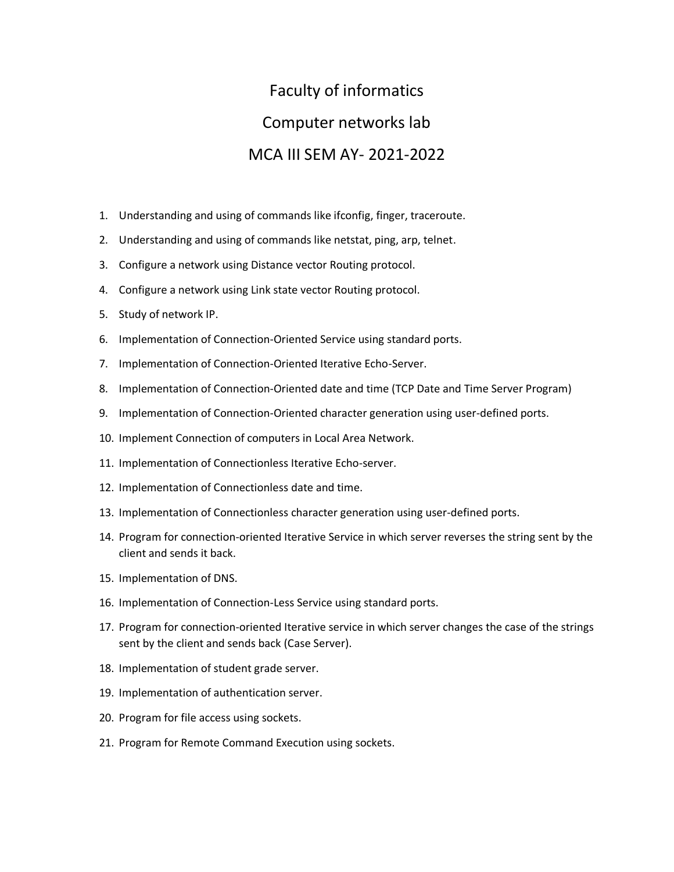## Faculty of informatics Computer networks lab MCA III SEM AY- 2021-2022

- 1. Understanding and using of commands like ifconfig, finger, traceroute.
- 2. Understanding and using of commands like netstat, ping, arp, telnet.
- 3. Configure a network using Distance vector Routing protocol.
- 4. Configure a network using Link state vector Routing protocol.
- 5. Study of network IP.
- 6. Implementation of Connection-Oriented Service using standard ports.
- 7. Implementation of Connection-Oriented Iterative Echo-Server.
- 8. Implementation of Connection-Oriented date and time (TCP Date and Time Server Program)
- 9. Implementation of Connection-Oriented character generation using user-defined ports.
- 10. Implement Connection of computers in Local Area Network.
- 11. Implementation of Connectionless Iterative Echo-server.
- 12. Implementation of Connectionless date and time.
- 13. Implementation of Connectionless character generation using user-defined ports.
- 14. Program for connection-oriented Iterative Service in which server reverses the string sent by the client and sends it back.
- 15. Implementation of DNS.
- 16. Implementation of Connection-Less Service using standard ports.
- 17. Program for connection-oriented Iterative service in which server changes the case of the strings sent by the client and sends back (Case Server).
- 18. Implementation of student grade server.
- 19. Implementation of authentication server.
- 20. Program for file access using sockets.
- 21. Program for Remote Command Execution using sockets.